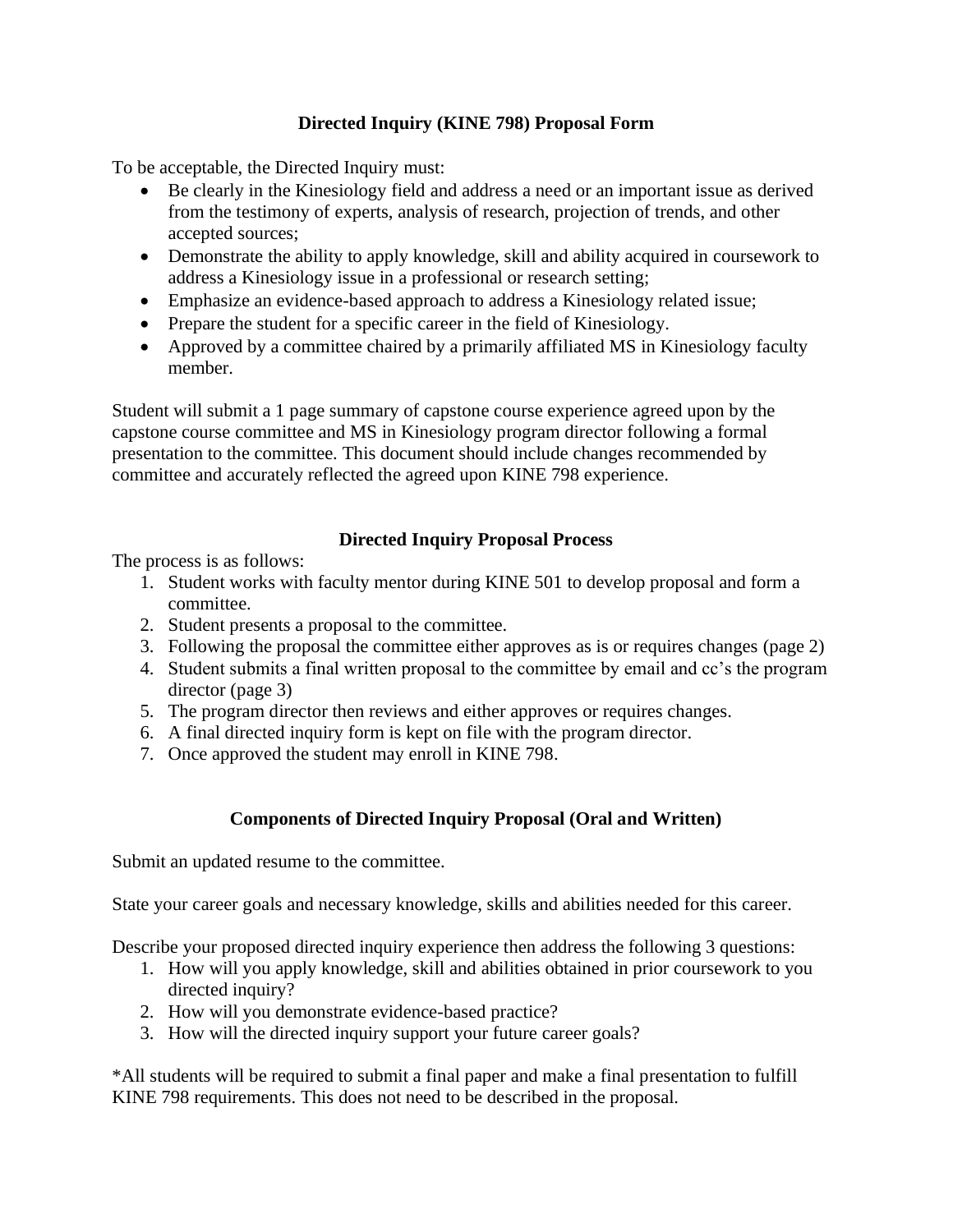# **Directed Inquiry (KINE 798) Proposal Form**

To be acceptable, the Directed Inquiry must:

- Be clearly in the Kinesiology field and address a need or an important issue as derived from the testimony of experts, analysis of research, projection of trends, and other accepted sources;
- Demonstrate the ability to apply knowledge, skill and ability acquired in coursework to address a Kinesiology issue in a professional or research setting;
- Emphasize an evidence-based approach to address a Kinesiology related issue;
- Prepare the student for a specific career in the field of Kinesiology.
- Approved by a committee chaired by a primarily affiliated MS in Kinesiology faculty member.

Student will submit a 1 page summary of capstone course experience agreed upon by the capstone course committee and MS in Kinesiology program director following a formal presentation to the committee. This document should include changes recommended by committee and accurately reflected the agreed upon KINE 798 experience.

# **Directed Inquiry Proposal Process**

The process is as follows:

- 1. Student works with faculty mentor during KINE 501 to develop proposal and form a committee.
- 2. Student presents a proposal to the committee.
- 3. Following the proposal the committee either approves as is or requires changes (page 2)
- 4. Student submits a final written proposal to the committee by email and cc's the program director (page 3)
- 5. The program director then reviews and either approves or requires changes.
- 6. A final directed inquiry form is kept on file with the program director.
- 7. Once approved the student may enroll in KINE 798.

# **Components of Directed Inquiry Proposal (Oral and Written)**

Submit an updated resume to the committee.

State your career goals and necessary knowledge, skills and abilities needed for this career.

Describe your proposed directed inquiry experience then address the following 3 questions:

- 1. How will you apply knowledge, skill and abilities obtained in prior coursework to you directed inquiry?
- 2. How will you demonstrate evidence-based practice?
- 3. How will the directed inquiry support your future career goals?

\*All students will be required to submit a final paper and make a final presentation to fulfill KINE 798 requirements. This does not need to be described in the proposal.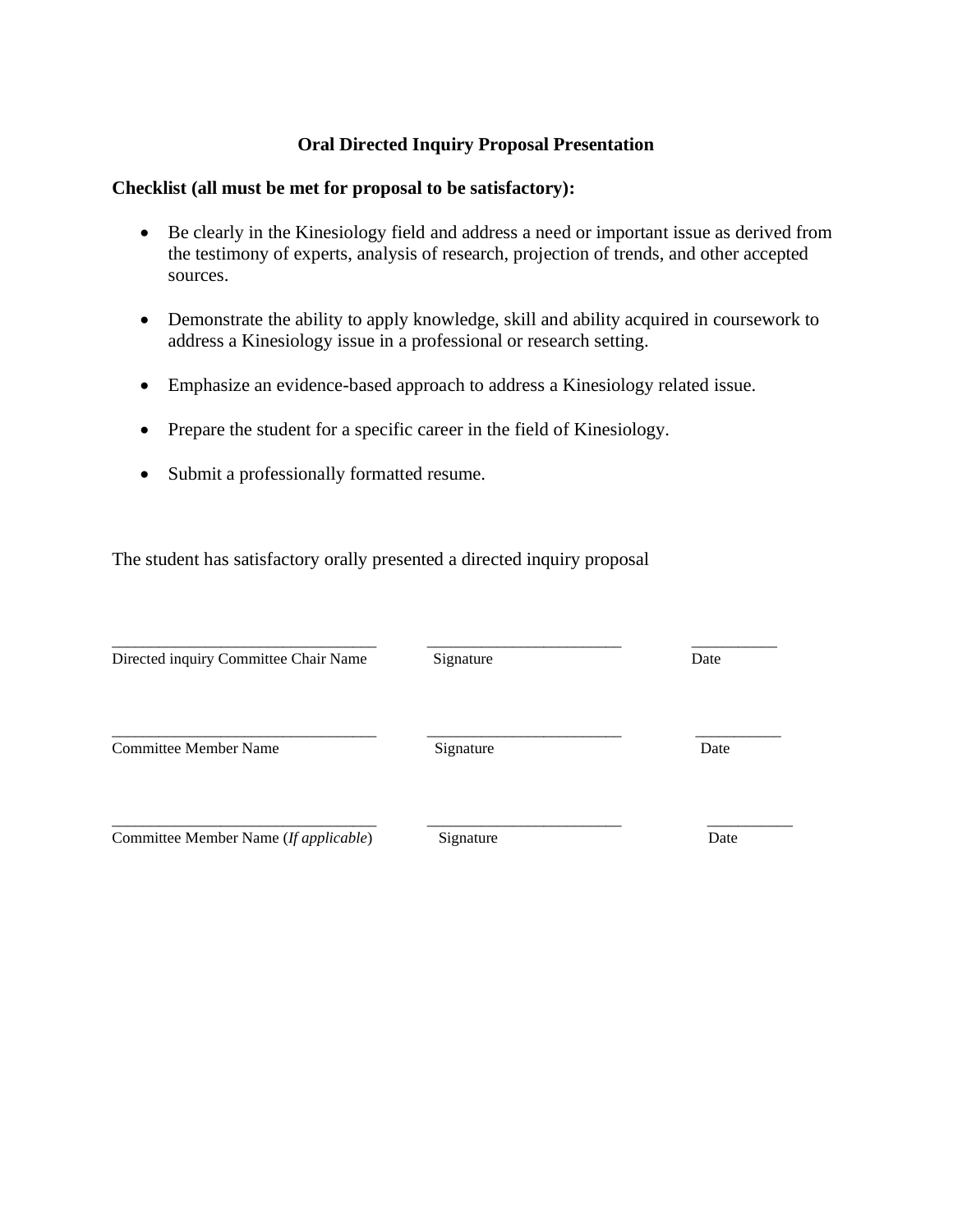### **Oral Directed Inquiry Proposal Presentation**

### **Checklist (all must be met for proposal to be satisfactory):**

- Be clearly in the Kinesiology field and address a need or important issue as derived from the testimony of experts, analysis of research, projection of trends, and other accepted sources.
- Demonstrate the ability to apply knowledge, skill and ability acquired in coursework to address a Kinesiology issue in a professional or research setting.
- Emphasize an evidence-based approach to address a Kinesiology related issue.
- Prepare the student for a specific career in the field of Kinesiology.
- Submit a professionally formatted resume.

The student has satisfactory orally presented a directed inquiry proposal

\_\_\_\_\_\_\_\_\_\_\_\_\_\_\_\_\_\_\_\_\_\_\_\_\_\_\_\_\_\_\_\_\_\_ \_\_\_\_\_\_\_\_\_\_\_\_\_\_\_\_\_\_\_\_\_\_\_\_\_ \_\_\_\_\_\_\_\_\_\_\_ Directed inquiry Committee Chair Name Signature Signature Date \_\_\_\_\_\_\_\_\_\_\_\_\_\_\_\_\_\_\_\_\_\_\_\_\_\_\_\_\_\_\_\_\_\_ \_\_\_\_\_\_\_\_\_\_\_\_\_\_\_\_\_\_\_\_\_\_\_\_\_ \_\_\_\_\_\_\_\_\_\_\_ Committee Member Name Signature Date \_\_\_\_\_\_\_\_\_\_\_\_\_\_\_\_\_\_\_\_\_\_\_\_\_\_\_\_\_\_\_\_\_\_ \_\_\_\_\_\_\_\_\_\_\_\_\_\_\_\_\_\_\_\_\_\_\_\_\_ \_\_\_\_\_\_\_\_\_\_\_ Committee Member Name (*If applicable*) Signature Date Date